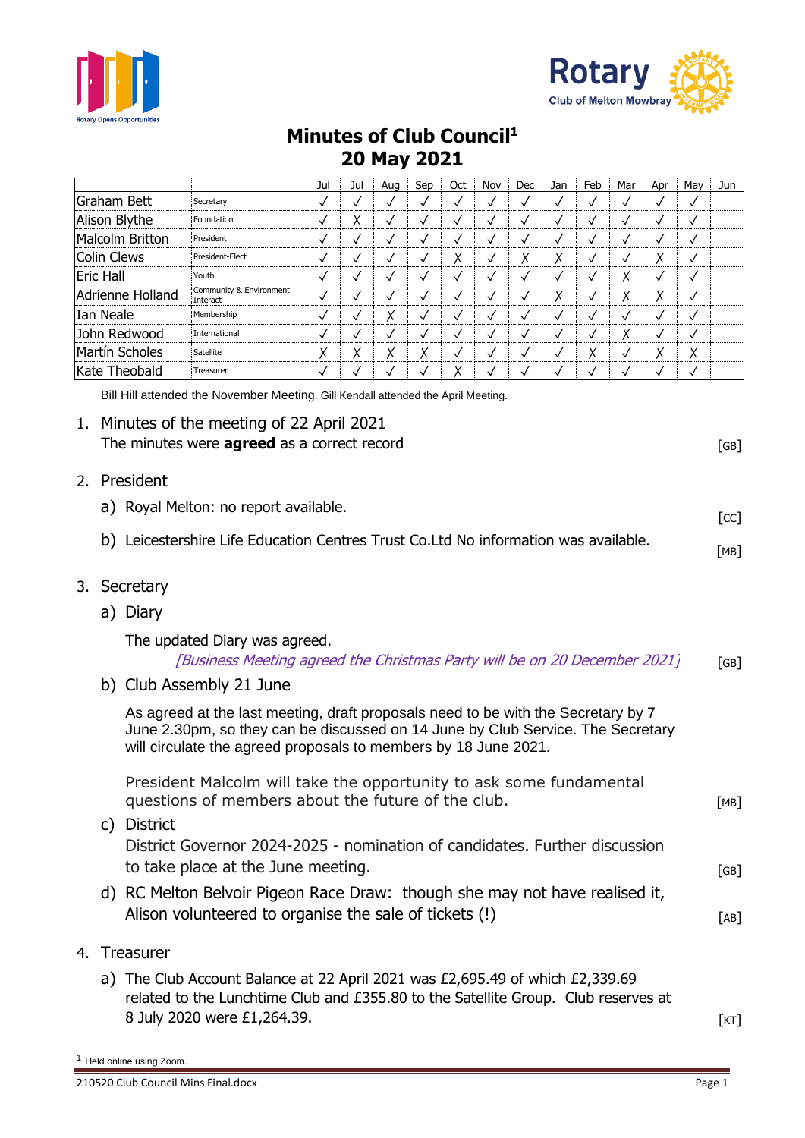



## **Minutes of Club Council<sup>1</sup> 20 May 2021**

|                                       |           |                                                                                                                                                                                                                                         |                                                                                                                                                                                                      | Jul          | Jul          | Aug          | Sep          | Oct          | Nov          | Dec          | Jan          | Feb                  | Mar                | Apr          | May          | Jun  |
|---------------------------------------|-----------|-----------------------------------------------------------------------------------------------------------------------------------------------------------------------------------------------------------------------------------------|------------------------------------------------------------------------------------------------------------------------------------------------------------------------------------------------------|--------------|--------------|--------------|--------------|--------------|--------------|--------------|--------------|----------------------|--------------------|--------------|--------------|------|
|                                       |           | Graham Bett                                                                                                                                                                                                                             | Secretary                                                                                                                                                                                            | $\checkmark$ | $\checkmark$ | $\checkmark$ | $\checkmark$ | $\checkmark$ | $\checkmark$ | $\checkmark$ | $\checkmark$ | $\checkmark$         | $\checkmark$       | ✓            | $\checkmark$ |      |
|                                       |           | Alison Blythe                                                                                                                                                                                                                           | Foundation                                                                                                                                                                                           | $\checkmark$ | Х            | $\checkmark$ | $\checkmark$ | $\checkmark$ | $\checkmark$ | $\checkmark$ | $\checkmark$ | $\checkmark$         | $\checkmark$       | $\checkmark$ | $\checkmark$ |      |
| <b>Malcolm Britton</b>                |           |                                                                                                                                                                                                                                         | President                                                                                                                                                                                            | $\checkmark$ | $\checkmark$ | $\checkmark$ | $\checkmark$ | $\checkmark$ | $\checkmark$ | $\checkmark$ | $\checkmark$ | $\checkmark$         | $\checkmark$       | $\checkmark$ | $\checkmark$ |      |
| <b>Colin Clews</b><br>President-Elect |           |                                                                                                                                                                                                                                         | $\checkmark$                                                                                                                                                                                         | $\checkmark$ | $\checkmark$ | $\checkmark$ | Χ            | $\checkmark$ | Χ            | Χ            | $\checkmark$ | $\checkmark$         | Χ                  | $\checkmark$ |              |      |
| <b>Eric Hall</b><br>Youth             |           |                                                                                                                                                                                                                                         | $\checkmark$                                                                                                                                                                                         | $\checkmark$ | $\checkmark$ | $\checkmark$ | $\checkmark$ | $\checkmark$ | $\checkmark$ | $\checkmark$ | $\checkmark$ | Х                    | $\checkmark$       | $\checkmark$ |              |      |
| Adrienne Holland                      |           |                                                                                                                                                                                                                                         | Community & Environment<br>Interact                                                                                                                                                                  | $\checkmark$ | $\checkmark$ | $\checkmark$ | $\checkmark$ | $\checkmark$ | $\checkmark$ | $\checkmark$ | Χ            | $\checkmark$         | X                  | Χ            | $\checkmark$ |      |
| <b>Ian Neale</b>                      |           |                                                                                                                                                                                                                                         | Membership                                                                                                                                                                                           | $\checkmark$ | $\checkmark$ | Χ            | ✓            | $\checkmark$ | $\checkmark$ | $\checkmark$ | $\checkmark$ | ✓                    | $\checkmark$       | $\checkmark$ | $\checkmark$ |      |
| John Redwood                          |           |                                                                                                                                                                                                                                         | International                                                                                                                                                                                        | $\checkmark$ | $\checkmark$ | $\checkmark$ | $\checkmark$ | $\checkmark$ | $\checkmark$ | $\checkmark$ | $\checkmark$ | $\checkmark$         | Χ                  | $\checkmark$ | $\checkmark$ |      |
| Martín Scholes                        |           |                                                                                                                                                                                                                                         | Satellite                                                                                                                                                                                            | Χ            | Χ            | Χ            | Χ            | $\checkmark$ | $\checkmark$ | $\checkmark$ | $\checkmark$ | Χ                    | $\checkmark$       | Χ            | Χ            |      |
| Kate Theobald                         |           |                                                                                                                                                                                                                                         | Treasurer                                                                                                                                                                                            | ✓            | $\checkmark$ | ✓            | ✓            | Χ            | $\checkmark$ | $\checkmark$ | $\checkmark$ | $\checkmark$         | $\checkmark$       | $\checkmark$ | $\checkmark$ |      |
|                                       |           |                                                                                                                                                                                                                                         | Bill Hill attended the November Meeting. Gill Kendall attended the April Meeting.                                                                                                                    |              |              |              |              |              |              |              |              |                      |                    |              |              |      |
|                                       |           |                                                                                                                                                                                                                                         | 1. Minutes of the meeting of 22 April 2021<br>The minutes were <b>agreed</b> as a correct record                                                                                                     |              |              |              |              |              |              |              |              |                      |                    |              |              | [GB] |
| 2.                                    |           | President                                                                                                                                                                                                                               |                                                                                                                                                                                                      |              |              |              |              |              |              |              |              |                      |                    |              |              |      |
|                                       |           | a) Royal Melton: no report available.                                                                                                                                                                                                   |                                                                                                                                                                                                      |              |              |              |              |              |              |              |              | $\lceil$ CC $\rceil$ |                    |              |              |      |
|                                       | b)        |                                                                                                                                                                                                                                         | Leicestershire Life Education Centres Trust Co.Ltd No information was available.                                                                                                                     |              |              |              |              |              |              |              |              |                      |                    |              |              | [MB] |
| 3.                                    | Secretary |                                                                                                                                                                                                                                         |                                                                                                                                                                                                      |              |              |              |              |              |              |              |              |                      |                    |              |              |      |
|                                       |           | a) Diary                                                                                                                                                                                                                                |                                                                                                                                                                                                      |              |              |              |              |              |              |              |              |                      |                    |              |              |      |
|                                       |           | The updated Diary was agreed.<br>[Business Meeting agreed the Christmas Party will be on 20 December 2021]                                                                                                                              |                                                                                                                                                                                                      |              |              |              |              |              |              |              |              |                      | $\lceil GB \rceil$ |              |              |      |
|                                       |           | b) Club Assembly 21 June                                                                                                                                                                                                                |                                                                                                                                                                                                      |              |              |              |              |              |              |              |              |                      |                    |              |              |      |
|                                       |           | As agreed at the last meeting, draft proposals need to be with the Secretary by 7<br>June 2.30pm, so they can be discussed on 14 June by Club Service. The Secretary<br>will circulate the agreed proposals to members by 18 June 2021. |                                                                                                                                                                                                      |              |              |              |              |              |              |              |              |                      |                    |              |              |      |
|                                       |           | President Malcolm will take the opportunity to ask some fundamental<br>questions of members about the future of the club.<br>c) District                                                                                                |                                                                                                                                                                                                      |              |              |              |              |              |              |              |              | [MB]                 |                    |              |              |      |
|                                       |           | District Governor 2024-2025 - nomination of candidates. Further discussion<br>to take place at the June meeting.                                                                                                                        |                                                                                                                                                                                                      |              |              |              |              |              |              |              | [GB]         |                      |                    |              |              |      |
|                                       |           |                                                                                                                                                                                                                                         | d) RC Melton Belvoir Pigeon Race Draw: though she may not have realised it,<br>Alison volunteered to organise the sale of tickets (!)                                                                |              |              |              |              |              |              |              |              |                      |                    |              |              | [AB] |
|                                       |           | 4. Treasurer                                                                                                                                                                                                                            |                                                                                                                                                                                                      |              |              |              |              |              |              |              |              |                      |                    |              |              |      |
|                                       |           |                                                                                                                                                                                                                                         | a) The Club Account Balance at 22 April 2021 was £2,695.49 of which $£2,339.69$<br>related to the Lunchtime Club and £355.80 to the Satellite Group. Club reserves at<br>8 July 2020 were £1,264.39. |              |              |              |              |              |              |              |              |                      |                    |              |              | [KT] |

<sup>1</sup> Held online using Zoom.